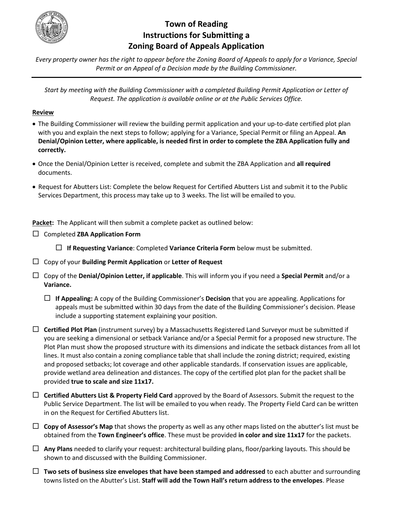

# **Town of Reading Instructions for Submitting a Zoning Board of Appeals Application**

*Every property owner has the right to appear before the Zoning Board of Appeals to apply for a Variance, Special Permit or an Appeal of a Decision made by the Building Commissioner.*

*Start by meeting with the Building Commissioner with a completed Building Permit Application or Letter of Request. The application is available online or at the Public Services Office.*

#### **Review**

- The Building Commissioner will review the building permit application and your up-to-date certified plot plan with you and explain the next steps to follow; applying for a Variance, Special Permit or filing an Appeal. **An Denial/Opinion Letter, where applicable, is needed first in order to complete the ZBA Application fully and correctly.**
- Once the Denial/Opinion Letter is received, complete and submit the ZBA Application and **all required** documents.
- Request for Abutters List: Complete the below Request for Certified Abutters List and submit it to the Public Services Department, this process may take up to 3 weeks. The list will be emailed to you.

Packet: The Applicant will then submit a complete packet as outlined below:

Completed **ZBA Application Form**

**If Requesting Variance**: Completed **Variance Criteria Form** below must be submitted.

- Copy of your **Building Permit Application** or **Letter of Request**
- Copy of the **Denial/Opinion Letter, if applicable**. This will inform you if you need a **Special Permit** and/or a **Variance.**
	- **If Appealing:** A copy of the Building Commissioner's **Decision** that you are appealing. Applications for appeals must be submitted within 30 days from the date of the Building Commissioner's decision. Please include a supporting statement explaining your position.
- **Certified Plot Plan** (instrument survey) by a Massachusetts Registered Land Surveyor must be submitted if you are seeking a dimensional or setback Variance and/or a Special Permit for a proposed new structure. The Plot Plan must show the proposed structure with its dimensions and indicate the setback distances from all lot lines. It must also contain a zoning compliance table that shall include the zoning district; required, existing and proposed setbacks; lot coverage and other applicable standards. If conservation issues are applicable, provide wetland area delineation and distances. The copy of the certified plot plan for the packet shall be provided **true to scale and size 11x17.**
- **Certified Abutters List & Property Field Card** approved by the Board of Assessors. Submit the request to the Public Service Department. The list will be emailed to you when ready. The Property Field Card can be written in on the Request for Certified Abutters list.
- $\Box$  Copy of Assessor's Map that shows the property as well as any other maps listed on the abutter's list must be obtained from the **Town Engineer's office**. These must be provided **in color and size 11x17** for the packets.
- **Any Plans** needed to clarify your request: architectural building plans, floor/parking layouts. This should be shown to and discussed with the Building Commissioner.
- **Two sets of business size envelopes that have been stamped and addressed** to each abutter and surrounding towns listed on the Abutter's List. **Staff will add the Town Hall's return address to the envelopes**. Please